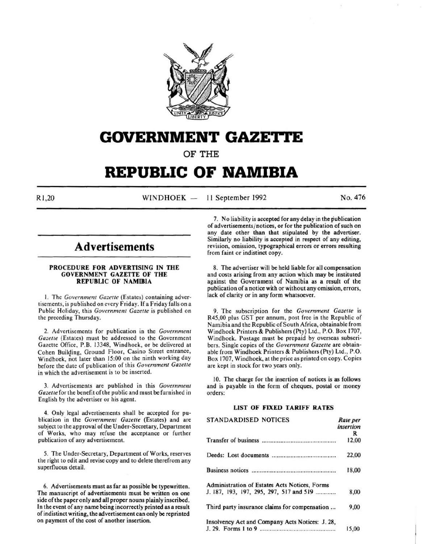

## **GOVERNMENT GAZETTE**

OF THE

# **REPUBLIC OF NAMIBIA**

Rl, 20 WINDHOEK - 11 September 1992 No. 476

## **Advertisements**

### PROCEDURE FOR ADVERTISING IN THE GOVERNMENT GAZETTE OF THE REPUBLIC OF NAMIBIA

I. The *Government Gazeue* (Estates) containing advertisements, is published on every Friday. If a Friday falls on a Public Holiday, this *Government Gazette* is published on the preceding Thursday.

2. Advertisements for publication in the *Government Gazette* (Estates) must be addressed to the Government Gazette Office, P.B. 13348, Windhoek, or be delivered at Cohen Building, Ground Floor, Casino Street entrance, Windhoek, not later than 15:00 on the ninth working day before the date of publication of this *Government Gazette*  in which the advertisement is to be inserted.

3. Advertisements are published in this *Government Gazelle* for the benefit of the public and must be furnished in English by the advertiser or his agent.

4. Only legal advertisements shall be accepted for publication in the *Government Gazette* (Estates) and are subject to the approval of the Under-Secretary, Department of Works, who may refuse the acceptance or further publication of any advertisement.

5. The Under-Secretary, Department of Works, reserves the right to edit and revise copy and to delete therefrom any superfluous detail.

6. Advertisements must as far as possible be typewritten. The manuscript of advertisements must be written on one side of the paper only and all proper nouns plainly inscribed. In the event of any name being incorrectly printed as a result of indistinct writing, the advertisement can only be reprinted on payment of the cost of another insertion.

7. No liability is accepted for any delay in the publication of advertisements/ notices, or for the publication of such on any date other than that stipulated by the advertiser. Similarly no liability is accepted in respect of any editing, revision, omission, typographical errors or errors resulting from faint or indistinct copy.

8. The advertiser will be held liable for all compensation and costs arising from any action which may be instituted against the Government of Namibia as a result of the publication of a notice with or without any omission, errors, lack of clarity or in any form whatsoever.

9. The subscription for the *Government Gazette* is R45,00 plus GST per annum, post free in the Republic of Namibia and the Republic of South Africa, obtainable from Windhoek Printers & Publishers (Pty) Ltd., P.O. Box 1707, Windhoek. Postage must be prepaid by overseas subscribers. Single copies of the *Government Gazette* are obtainable from Windhoek Printers & Publishers (Pty) Ltd., P.O. Box 1707, Windhoek, at the price as printed on copy. Copies are kept in stock for two years only.

10. The charge for the insertion of notices is as follows and is payable in the form of cheques, postal or money orders:

### LIST OF FIXED TARIFF RATES

| <b>STANDARDISED NOTICES</b>                     | Rate per<br>insertion |
|-------------------------------------------------|-----------------------|
|                                                 | R                     |
|                                                 | 12,00                 |
|                                                 | 22,00                 |
|                                                 | 18,00                 |
| Administration of Estates Acts Notices, Forms   |                       |
| J. 187, 193, 197, 295, 297, 517 and 519         | 8,00                  |
| Third party insurance claims for compensation   | 9,00                  |
| Insolvency Act and Company Acts Notices: J. 28, |                       |
|                                                 | 15.00                 |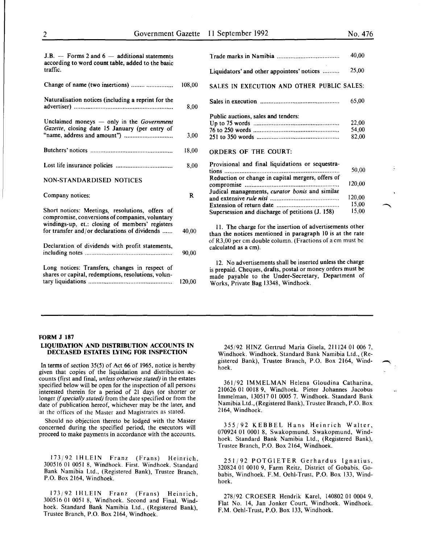| $J.B.$ - Forms 2 and $6$ - additional statements<br>according to word count table, added to the basic<br>traffic.                                                                                      |        |  |
|--------------------------------------------------------------------------------------------------------------------------------------------------------------------------------------------------------|--------|--|
| Change of name (two insertions)                                                                                                                                                                        | 108,00 |  |
| Naturalisation notices (including a reprint for the                                                                                                                                                    | 8,00   |  |
| Unclaimed moneys $-$ only in the Government<br>Gazette, closing date 15 January (per entry of                                                                                                          | 3,00   |  |
|                                                                                                                                                                                                        | 18,00  |  |
|                                                                                                                                                                                                        | 8,00   |  |
| <b>NON-STANDARDISED NOTICES</b>                                                                                                                                                                        |        |  |
| Company notices:                                                                                                                                                                                       | R      |  |
| Short notices: Meetings, resolutions, offers of<br>compromise, conversions of companies, voluntary<br>windings-up, et.: closing of members' registers<br>for transfer and/or declarations of dividends | 40,00  |  |
| Declaration of dividends with profit statements,                                                                                                                                                       | 90,00  |  |
| Long notices: Transfers, changes in respect of<br>shares or capital, redemptions, resolutions, volun-                                                                                                  | 120,00 |  |

|                                                   | 40,00  |
|---------------------------------------------------|--------|
| Liquidators' and other appointees' notices        | 25,00  |
| SALES IN EXECUTION AND OTHER PUBLIC SALES:        |        |
|                                                   | 65,00  |
| Public auctions, sales and tenders:               |        |
|                                                   | 22,00  |
|                                                   | 54,00  |
|                                                   | 82,00  |
| <b>ORDERS OF THE COURT:</b>                       |        |
| Provisional and final liquidations or sequestra-  |        |
| tions                                             | 50,00  |
| Reduction or change in capital mergers, offers of |        |
|                                                   | 120.00 |
| Judical managements, curator bonis and similar    |        |
|                                                   | 120,00 |
|                                                   | 15,00  |
| Supersession and discharge of petitions (J. 158)  | 15,00  |
|                                                   |        |

11. The charge for the insertion of advertisements other than the notices mentioned in paragraph 10 is at the rate of R3,00 per em double column. (Fractions of a em must be calculated as a em).

12. No advertisements shall be inserted unless the charge is prepaid. Cheques, drafts, postal or money orders must be made payable to the Under-Secretary, Department of Works, Private Bag 13348, Windhoek.

### FORM J 187

### LIQUIDATION AND DISTRIBUTION ACCOUNTS IN DECEASED ESTATES LYING FOR INSPECTION

In terms of section 35(5) of Act 66 of 1965, notice is hereby given that copies of the liquidation and distribution accounts (first and final, *unless otherwise stated)* in the estates specified below will be open for the inspection of all persons interested therein for a period of 21 days (or shorter or longer if *specially stated)* from the date specified or from the date of publication hereof, whichever may be the later, and at the offices of the Master and Magistrates as stated.

Should no objection thereto be lodged with the Master concerned during the specified period, the executors will proceed to make payments in accordance with the accounts.

173/92 lHLElN Franz (Frans) Heinrich, 300516 01 0051 8, Windhoek. First. Windhoek. Standard Bank Namibia Ltd., (Registered Bank), Trustee Branch, P.O. Box 2164, Windhoek.

173/92 IHLEIN Franz (Frans) Heinrich, 300516 01 0051 8, Windhoek. Second and Final. Windhoek. Standard Bank Namibia Ltd., (Registered Bank), Trustee Branch, P.O. Box 2164, Windhoek.

245/92 HINZ Gertrud Maria Gisela, 211124 01 006 7, Windhoek. Windhoek. Standard Bank Namibia Ltd., (Registered Bank), Trustee Branch, P.O. Box 2164, Windhoek.

361/92 IMMELMAN Helena Gloudina Catharina, 210626 01 0018 9, Windhoek. Pieter Johannes Jacobus Immelman, 130517 01 0005 7. Windhoek. Standard Bank Namibia Ltd., (Registered Bank), Trustee Branch, P.O. Box 2164, Windhoek.

355/92 KEBBEL Hans Heinrich Walter, 070924 01 0001 8, Swakopmund. Swakopmund, Windhoek. Standard Bank Namibia Ltd., (Registered Bank), Trustee Branch, P.O. Box 2164, Windhoek.

251/92 POTGIETER Gerhardus Ignatius, 320824 01 0010 9, Farm Reitz, District of Gobabis. Gobabis, Windhoek. F.M. Oehi-Trust, P.O. Box 133, Windhoek.

278/92 CROESER Hendrik Karel, 140802 01 0004 9, Flat No. 14, Jan Jonker Court, Windhoek. Windhoek. F.M. Oehi-Trust, P.O. Box 133, Windhoek.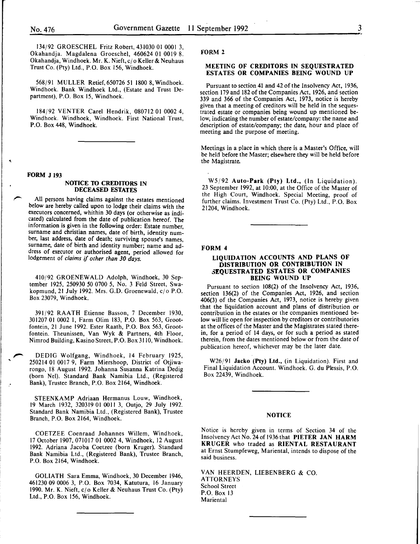134/92 GROESCHEL Fritz Robert, 431030 01 0001 3, Okahandja. Magdalena Groeschel, 460624 01 0019 8. Okahandja, Windhoek. Mr. K. Nieft, c/o Keller & Neuhaus Trust Co. (Pty) Ltd., P.O. Box 156, Windhoek.

568/91 MULLER Retief, 650726 51 1800 8, Windhoek. Windhoek. Bank Windhoek Ltd., (Estate and Trust Department), P.O. Box 15, Windhoek.

184/92 VENTER Carel Hendrik, 080712 01 0002 4, Windhoek. Windhoek, Windhoek. First National Trust, P.O. Box 448, Windhoek.

### FORM J 193

.'

### NOTICE TO CREDITORS IN DECEASED ESTATES

All persons having claims against the estates mentioned below are hereby called upon to lodge their claims with the executors concerned, whithin 30 days (or otherwise as indicated) calculated from the date of publication hereof. The information is given in the following order: Estate number, surname and christian names, date of birth, identity number, last address, date of death; surviving spouse's names, surname, date of birth and identity number; name and address of executor or authorised agent, period allowed for lodgement of *claims* if *other than 30 days.* 

410/92 GROENEWALD Adolph, Windhoek, 30 September 1925, 250930 50 0700 5, No. 3 Feld Street, Swakopmund, 21 July 1992. Mrs. G.D. Groenewald, cjo P.O. Box 23079, Windhoek.

391/92 RAA TH Etienne Basson, 7 December 1930, 301207 01 0002 I, Farm Olim 183, P.O. Box 563, Grootfontein, 21 June 1992. Ester Raath, P.O. Box 563, Grootfontein. Theunissen, Van Wyk & Partners, 4th Floor, Nimrod Building, Kasino Street, P.O. Box 3110, Windhoek.

DEDIG Wolfgang, Windhoek, 14 February 1925, 250214 01 0017 9, Farm Miershoop, District of Otjiwarongo, 18 August 1992. Johanna Susanna Katrina Dedig (born Nel). Standard Bank Namibia Ltd., (Registered Bank), Trustee Branch, P.O. Box 2164, Windhoek .

STEENKAMP Adriaan Hermanus Louw, Windhoek, 19 March 1932, 320319 01 0011 3, Outjo, 29 July 1992. Standard Bank Namibia Ltd., (Registered Bank), Trustee Branch, P.O. Box 2164, Windhoek.

COETZEE Coenraad Johannes Willem, Windhoek, 17 October 1907,071017 01 0002 4, Windhoek, 12 August 1992. Adriana Jacoba Coetzee (born Kruger). Standard Bank Namibia Ltd., (Registered Bank), Trustee Branch, P.O. Box 2164, Windhoek.

GOLIATH Sara Emma, Windhoek, 30 December 1946, 461230 09 0006 3, P.O. Box 7034, Katutura, 16 January 1990. Mr. K. Nieft, cj o Keller & Neuhaus Trust Co. (Pty) Ltd., P.O. Box 156, Windhoek.

### FORM 2

### MEETING OF CREDITORS IN SEQUESTRATED ESTATES OR COMPANIES BEING WOUND UP

Pursuant to section 41 and 42 of the Insolvency Act, 1936, section 179 and 182 of the Companies Act, 1926, and section 339 and 366 of the Companies Act, 1973, notice is hereby given that a meeting of creditors will be held in the sequestrated estate or companies being wound up mentioned below, indicating the number of estate/company: the name and description of estate/company; the date, hour and place of meeting and the purpose of meeting.

Meetings in a place in which there is a Master's Office, will be held before the Master; elsewhere they will be held before the Magistrate.

W5/92 Auto-Park (Pty) Ltd., (In Liquidation). 23 September 1992, at 10:00, at the Office of the Master of the High Court, Windhoek. Special Meeting, proof of further claims. Investment Trust Co. (Pty) Ltd., P.O. Box 21204, Windhoek.

#### FORM 4

### LIQUIDATION ACCOUNTS AND PLANS OF DISTRIBUTION OR CONTRIBUTION IN 3EQUESTRATED ESTATES OR COMPANIES BEING WOUND UP

Pursuant to section 108(2) of the Insolvency Act, 1936, section 136(2) of the Companies Act, 1926, and section 406(3) of the Companies Act, 1973, notice is hereby given contribution in the estates or the companies mentioned below will lie open for inspection by creditors or contributories at the offices of the Master and the Magistrates stated therein, for a period of 14 days, or for such a period as stated therein, from the dates mentioned below or from the date of publication hereof, whichever may be the later date.

W26/91 Jacko (Pty) Ltd., (in Liquidation). First and Final Liquidation Account. Windhoek. G. du Plessis, P.O. Box 22439, Windhoek.

### NOTICE

Notice is hereby given in terms of Section 34 of the Insolvency Act No. 24 of 1936 that PIETER JAN HARM KRUGER who traded as RIENTAL RESTAURANT at Ernst Stumpfeweg, Mariental, intends to dispose of the said business.

VAN HEERDEN, LIEBENBERG & CO. ATTORNEYS School Street P.O. Box 13 **Mariental**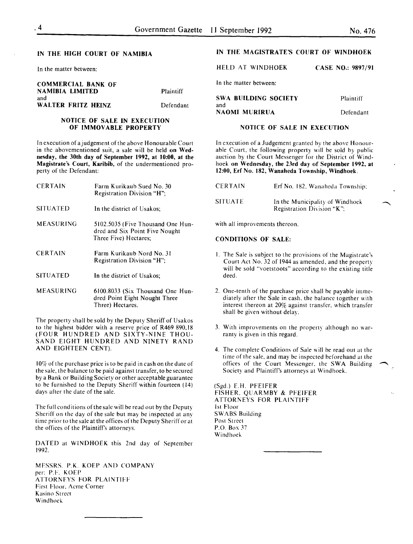### IN THE HIGH COURT OF NAMIBIA

In the matter between:

COMMERCIAL BANK OF NAMIBIA LIMITED Plaintiff and WALTER FRITZ HEINZ Defendant

### NOTICE OF SALE IN EXECUTION OF IMMOVABLE PROPERTY

In execution of a judgement of the above Honourable Court in the abovementioned suit, a sale will be held on Wednesday, the 30th day of September 1992, at 10:00, at the Magistrate's Court, Karibib, of the undermentioned property of the Defendant:

| <b>CERTAIN</b>  | Farm Kurikaub Sued No. 30<br>Registration Division "H";                                      |
|-----------------|----------------------------------------------------------------------------------------------|
| <b>SITUATED</b> | In the district of Usakos:                                                                   |
| MEASURING       | 5102.5035 (Five Thousand One Hun-<br>dred and Six Point Five Nought<br>Three Five) Hectares; |
| <b>CERTAIN</b>  | Farm Kurikaub Nord No. 31<br>Registration Division "H";                                      |
| <b>SITUATED</b> | In the district of Usakos;                                                                   |
| MEASURING       | 6100.8033 (Six Thousand One Hun-<br>dred Point Eight Nought Three<br>Three) Hectares.        |

The property shall be sold by the Deputy Sheriff of Usakos to the highest bidder with a reserve price of R469 890.18 (FOUR HUNDRED AND SIXTY-NINE THOU-SAND EIGHT HUNDRED AND NINETY RAND AND EIGHTEEN CENT).

10% of the purchase price is to be paid in cash on the date of the sale, the balance to be paid against transfer, to be secured by a Bank or Building Society or other acceptable guarantee to be furnished to the Deputy Sheriff within fourteen ( 14) days after the date of the sale.

The full conditions of the sale will be read out by the Deputy Sheriff on the day of the sale but may be inspected at any time prior to the sale at the offices of the Deputy Sheriff or at the offices of the Plaintiff's attorneys.

DATED at WINDHOEK this 2nd day of September 1992.

MESSRS. P.K. KOEP AND COMPANY per: P.F. KOEP ATTORNEYS FOR PLAINTIFF First Floor. Acme Corner **Kasino Street** Windhoek

### IN THE MAGISTRATE'S COURT OF WINDHOEK

| HELD AT WINDHOEK       | CASE NO.: 9897/91 |
|------------------------|-------------------|
| In the matter between: |                   |
| SWA BUILDING SOCIETY   | Plaintiff         |

and NAOMI MURIRUA Defendant

### NOTICE OF SALE IN EXECUTION

In execution of a Judgement granted by the above Honourable Court, the following property will be sold by public auction by the Court Messenger for the District of Windhoek on Wednesday, the 23rd day of September 1992, at 12:00, Erf No. 182, Wanaheda Township, Windhoek.

| <b>CERTAIN</b> | Erf No. 182, Wanaheda Township:                                   |
|----------------|-------------------------------------------------------------------|
| SITUATE        | In the Municipality of Windhoek<br>Registration Division " $K$ ": |

with all improvements thereon.

### CONDITIONS OF SALE:

- I. The Sale is subject to the provisions of the Magistrate's Court Act No. 32 of 1944 as amended, and the property will be sold "voetstoots" according to the existing title deed.
- 2. One-tenth of the purchase price shall be payable immediately after the Sale in cash. the balance together with interest thereon at 20% against transfer. which transfer shall be given without delay.
- 3. With improvements on the property although no warranty is given in this regard.
- 4. The complete Conditions of Sale will be read out at the time of the sale, and may be inspected beforehand at the offices of the Court Messenger, the SWA Building Society and Plaintiff's attorneys at Windhoek.

(Sgd.) E.H. PFEIFER FISHER. QUARMBY & PFEIFER ATTORNEYS FOR PLAINTIFF 1st Floor SWABS Building Post Street P.O. Box 37 Windhoek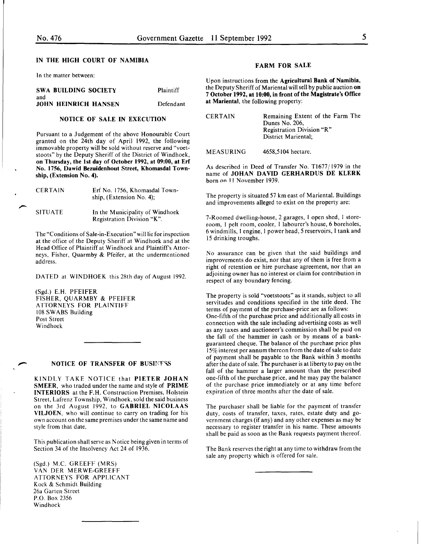### IN THE HIGH COURT OF NAMIBIA

In the matter between:

| <b>SWA BUILDING SOCIETY</b>        | Plaintiff |
|------------------------------------|-----------|
| and<br><b>JOHN HEINRICH HANSEN</b> | Defendant |

### NOTICE OF SALE IN EXECUTION

Pursuant to a Judgement of the above Honourable Court granted on the 24th day of April 1992, the following immovable property will be sold without reserve and "voetstoots" by the Deputy Sheriff of the District of Windhoek, on Thursday, the 1st day of October 1992, at 09:00, at Erf No. 1756, Dawid Bezuidenhout Street, Khomasdal Township, (Extension No. 4).

| <b>CERTAIN</b> | Erf No. 1756, Khomasdal Town-<br>ship, (Extension No. 4);     |
|----------------|---------------------------------------------------------------|
| <b>SITUATE</b> | In the Municipality of Windhoek<br>Registration Division "K". |

The "Conditions of Sale-in-Execution" will lie for inspection at the office of the Deputy Sheriff at Windhoek and at the Head Office of Plaintiff at Windhoek and Plaintiff's Attorneys, Fisher, Quarmby & Pfeifer, at the undermentioned address.

DATED at WINDHOEK this 28th day of August 1992.

(Sgd.) E.H. PFEIFER FISHER, QUARMBY & PFEIFER ATTORNEYS FOR PLAINTIFF 108 SWABS Building Post Street Windhoek

### **NOTICE OF TRANSFER OF BUSINESS**

KINDLY TAKE NOTICE that PIETER JOHAN SMEER, who traded under the name and style of PRIME INTERIORS at the F.H. Construction Premises, Holstein Street, Lafrenz Township, Windhoek, sold the said business on the 3rd August 1992, to GABRIEL NICOLAAS VILJOEN, who will continue to carry on trading for his own account on the same premises under the same name and style from that date.

This publication shall serve as Notice being given in terms of Section 34 of the Insolvency Act 24 of 1936.

(Sgd.) M.C. GREEFF (MRS) VAN DER MERWE-GREEFF ATTORNEYS FOR APPLICANT Kock & Schmidt Building 26a Garten Street P.O. Box 2356 Windhoek

### FARM FOR SALE

Upon instructions from the Agricultural Bank of Namibia, the Deputy Sheriff of Mariental will sell by public auction on 7 October 1992, at 10:00, in front of the Magistrate's Office at Mariental, the following property:

| <b>CERTAIN</b> | Remaining Extent of the Farm The |
|----------------|----------------------------------|
|                | Dunes No. 206,                   |
|                | Registration Division "R"        |
|                | District Mariental:              |
|                |                                  |

**MEASURING** 4658,5104 hectare.

As described in Deed of Transfer No. Tl677/1979 in the name of JOHAN DAVID GERHARDUS DE KLERK born on 11 November 1939.

The property is situated 57 km east of Mariental. Buildings and improvements alleged to exist on the property are:

7-Roomed dwelling-house, 2 garages, I open shed, I storeroom, I pelt room, cooler, I labourer's house, 6 boreholes, 6 windmills, I engine, I power head, *5* reservoirs, I tank and 15 drinking troughs.

No assurance can be given that the said buildings and improvements do exist, nor that any of them is free from a right of retention or hire purchase agreement, nor that an adjoining owner has no interest or claim for contribution in respect of any boundary fencing.

The property is sold "voetstoots" as it stands, subject to all servitudes and conditions specified in the title deed. The terms of payment of the purchase-price are as follows: One-fifth of the purchase price and additionally all costs in connection with the sale including advertising costs as well as any taxes and auctioneer's commission shall be paid on the fall of the hammer in cash or by means of a bankguaranteed cheque. The balance of the purchase price plus 15% interest per annum thereon from the date of sale to date of payment shall be payable to the Bank within 3 months after the date of sale. The purchaser is at liberty to pay on the fall of the hammer a larger amount than the prescribed one-fifth of the purchase price, and he may pay the balance of the purchase price immediately or at any time before expiration of three months after the date of sale.

The purchaser shall be liable for the payment of transfer duty, costs of transfer, taxes, rates, estate duty and government charges (if any) and any other expenses as may be necessary to register transfer in his name. These amounts shall be paid as soon as the Bank requests payment thereof.

The Bank reserves the right at any time to withdraw from the sale any property which is offered for sale.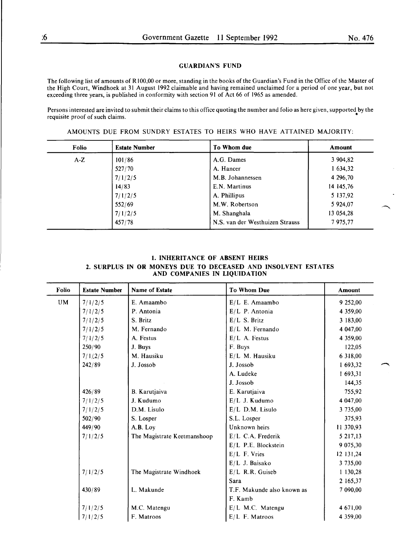### GUARDIAN'S FUND

The following list of amounts of R I 00,00 or more, standing in the books of the Guardian's Fund in the Office of the Master of the High Court, Windhoek at 31 August 1992 claimable and having remained unclaimed for a period of one year, but not exceeding three years, is published in conformity with section 91 of Act 66 of 1965 as amended.

Persons interested are invited to submit their claims to this office quoting the number and folio as here given, supported by the requisite proof of such claims. •

AMOUNTS DUE FROM SUNDRY ESTATES TO HEIRS WHO HAVE ATTAINED MAJORITY:

| <b>Folio</b> | <b>Estate Number</b> | To Whom due                     | Amount    |
|--------------|----------------------|---------------------------------|-----------|
| $A-Z$        | 101/86               | A.G. Dames                      | 3 904,82  |
|              | 527/70               | A. Hancer                       | 1 634,32  |
|              | 7/1/2/5              | M.B. Johannessen                | 4 296,70  |
|              | 14/83                | E.N. Martinus                   | 14 145,76 |
|              | 7/1/2/5              | A. Phillipus                    | 5 137,92  |
|              | 552/69               | M.W. Robertson                  | 5 924,07  |
|              | 7/1/2/5              | M. Shanghala                    | 13 054,28 |
|              | 457/78               | N.S. van der Westhuizen Strauss | 7975,77   |

### 1. INHERITANCE OF ABSENT HEIRS 2. SURPLUS IN OR MONEYS DUE TO DECEASED AND INSOLVENT ESTATES AND COMPANIES IN LIQUIDATION

| <b>Folio</b> | <b>Estate Number</b> | Name of Estate              | <b>To Whom Due</b>         | <b>Amount</b> |
|--------------|----------------------|-----------------------------|----------------------------|---------------|
| <b>UM</b>    | 7/1/2/5              | E. Amaambo                  | E/L E. Amaambo             | 9 252,00      |
|              | 7/1/2/5              | P. Antonia                  | E/L P. Antonia             | 4 359,00      |
|              | 7/1/2/5              | S. Britz                    | E/L S. Britz               | 3 183,00      |
|              | 7/1/2/5              | M. Fernando                 | $E/L$ M. Fernando          | 4 047,00      |
|              | 7/1/2/5              | A. Festus                   | E/L A. Festus              | 4 359,00      |
|              | 250/90               | J. Buys                     | F. Buys                    | 122,05        |
|              | 7/1/2/5              | M. Hausiku                  | E/L M. Hausiku             | 6 318,00      |
|              | 242/89               | J. Jossob                   | J. Jossob                  | 1 693,32      |
|              |                      |                             | A. Ludeke                  | 1 693,31      |
|              |                      |                             | J. Jossob                  | 144,35        |
|              | 426/89               | B. Karutjaiva               | E. Karutjaiva              | 755,92        |
|              | 7/1/2/5              | J. Kudumo                   | E/L J. Kudumo              | 4 047,00      |
|              | 7/1/2/5              | D.M. Lisulo                 | $E/L$ D.M. Lisulo          | 3 735,00      |
|              | 502/90               | S. Losper                   | S.L. Losper                | 375,93        |
|              | 449/90               | A.B. Loy                    | Unknown heirs              | 11 370,93     |
|              | 7/1/2/5              | The Magistrate Keetmanshoop | $E/L$ C.A. Frederik        | 5 217,13      |
|              |                      |                             | E/L P.E. Blockstein        | 9 075,30      |
|              |                      |                             | $E/L$ F. Vries             | 12 131,24     |
|              |                      |                             | E/L J. Baisako             | 3 735,00      |
|              | 7/1/2/5              | The Magistrate Windhoek     | $E/L$ R.R. Guiseb          | 1 130,28      |
|              |                      |                             | Sara                       | 2 165,37      |
|              | 430/89               | L. Makunde                  | T.F. Makunde also known as | 7 090,00      |
|              |                      |                             | F. Kamb                    |               |
|              | 7/1/2/5              | M.C. Matengu                | $E/L$ M.C. Matengu         | 4 671,00      |
|              | 7/1/2/5              | F. Matroos                  | E/L F. Matroos             | 4 359,00      |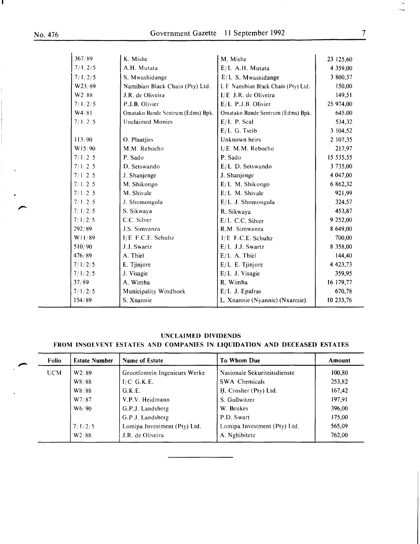H.

 $\langle \cdot \rangle$ 

 $\bar{\star}$ 

| 367/89    | K. Mishe                          | M. Mishe                            | 23 125,60     |
|-----------|-----------------------------------|-------------------------------------|---------------|
| 7/1/2/5   | A.H. Mutata                       | E/L A.H. Mutata                     | 4 359,00      |
| 7/1/2/5   | S. Mwashidange                    | $E/L$ S. Mwashidange                | 3 800,57      |
| W23/89    | Namibian Black Chain (Pty) Ltd.   | I/E Namibian Black Chain (Pty) Ltd. | 150,00        |
| W2:88     | J.R. de Oliveira                  | $I/E$ J.R. de Oliveira              | 149.51        |
| 7/1/2/5   | P.J.B. Olivier                    | E/L P.J.B. Olivier                  | 25 974,00     |
| W4/81     | Omatako Bande Sentrum (Edms) Bpk. | Omatako Bande Sentrum (Edms) Bpk.   | 645,00        |
| 7/1, 2/5  | <b>Unclaimed Monies</b>           | $E/L$ P. Scal                       | 534,32        |
|           |                                   | E/L G. Tseib                        | 3 104,52      |
| 113/90    | O. Plaatjies                      | Unknown heirs                       | 2 107,35      |
| W15/90    | M.M. Rebocho                      | I/E M.M. Rebocho                    | 217,97        |
| 7/1/2.5   | P. Sado                           | P. Sado                             | 15 535,55     |
| 7/1, 2/5  | D. Setswando                      | E/L D. Setswando                    | 3 735,00      |
| 7/1, 2.5  | J. Shanjenge                      | J. Shanjenge                        | 4 047,00      |
| 7/1, 2/5  | M. Shikongo                       | E/L M. Shikongo                     | 6 862,32      |
| 7/1, 2, 5 | M. Shivale                        | $E/L$ M. Shivale                    | 921,99        |
| 7/1/2.5   | J. Shomongula                     | E/L J. Shomongula                   | 324,57        |
| 7/1/2/5   | S. Sikwaya                        | R. Sikwaya                          | 453,87        |
| 7/1/2/5   | C.C. Silver                       | E/L C.C. Silver                     | 9 252,00      |
| 292/89    | J.S. Simvanza                     | R.M. Simwanza                       | 8 649,00      |
| W11/89    | I/E F.C.E. Schultz                | I/E F.C.E. Schultz                  | 700,00        |
| 510/90    | J.J. Swartz                       | $E/L$ J.J. Swartz                   | 8 358,00      |
| 476/89    | A. Thiel                          | $E/L$ A. Thiel                      | 144,40        |
| 7/1/2/5   | E. Tjinjore                       | $E/L$ E. Tjinjore                   | 4 4 2 3 , 7 3 |
| 7/1/2/5   | J. Visagie                        | $E/L$ J. Visagie                    | 359,95        |
| 37/89     | A. Wimba                          | R. Wimba                            | 16 179,77     |
| 7/1/2/5   | Municipality Windhoek             | $E/L$ J. Epafras                    | 670,78        |
| 154/89    | S. Xnannie                        | L. Xnannie (Nyannie) (Nxannie)      | 10 233,76     |
|           |                                   |                                     |               |

### UNCLAIMED DIVIDENDS

### FROM INSOLVENT ESTATES AND COMPANIES IN LIQUIDATION AND DECEASED ESTATES

| Folio | <b>Estate Number</b> | <b>Name of Estate</b>         | <b>To Whom Due</b>           | Amount |  |
|-------|----------------------|-------------------------------|------------------------------|--------|--|
| UCM   | W2/89                | Grootfontein Ingenieurs Werke | Nasionale Sekuriteitsdienste | 100,80 |  |
|       | W8/88                | $I/C$ G.K.E.                  | <b>SWA Chemicals</b>         | 253,82 |  |
|       | W8/88                | G.K.E.                        | H. Crosher (Pty) Ltd.        | 167,42 |  |
|       | W7/87                | V.P.V. Heidmann               | S. Gollwitzer                | 197,91 |  |
|       | W <sub>6</sub> /90   | G.P.J. Landsberg              | W. Beukes                    | 396,00 |  |
|       |                      | G.P.J. Landsberg              | P.D. Swart                   | 175,00 |  |
|       | 7/1/2/5              | Lomipa Investment (Pty) Ltd.  | Lomipa Investment (Pty) Ltd. | 565,09 |  |
|       | W2/88                | J.R. de Oliveira              | A. Nghibitete                | 762,00 |  |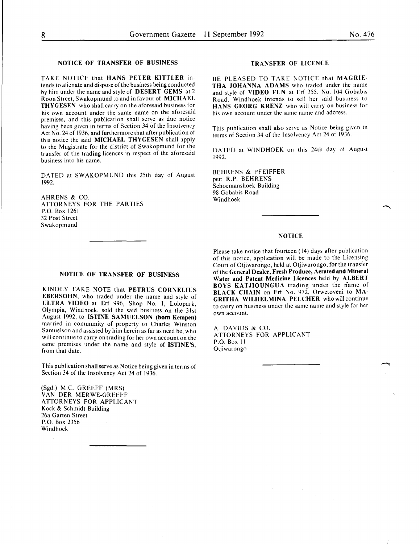### **NOTICE OF TRANSFER OF BUSINESS**

TAKE NOTICE that **HANS PETER KITTLER** intends to alienate and dispose of the business being conducted by him under the name and style of **DESERT GEMS** at 2 Roon Street, Swakopmund to and in favour of **MICHAEL THYGESEN** who shall carry on the aforesaid business for his own account under the same name on the aforesaid premises, and this publication shall serve as due notice having been given in terms of Section 34 of the Insolvency Act No. 24 of 1936, and furthermore that after publication of this notice the said **MICHAEL THYGESEN** shall apply to the Magistrate for the district of Swakopmund for the transfer of the trading licences in respect of the aforesaid business into his name.

DATED at SWAKOPMUND this 25th day of August 1992.

AHRENS & CO. ATTORNEYS FOR **THE** PARTIES P.O. Box 1261 32 Post Street Swakopmund

### **TRANSFER OF LICENCE**

BE PLEASED TO TAKE NOTICE that **MAGRIE-THA JOHANNA ADAMS** who traded under the name and style of **VIDEO FUN** at Erf 255, No. 104 Gobabis Road, Windhoek intends to sell her said business to **HANS GEORG KRENZ** who will carry on business for his own account under the same name and address.

This publication shall also serve as Notice being given in terms of Section 34 of the Insolvency Act 24 of 1936.

DATED at WINDHOEK on this 24th day of August 1992.

BEHRENS & PFEIFFER per: R.P. BEHRENS Schoemanshoek Building 98 Gobabis Road Windhoek

### **NOTICE**

Please take notice that fourteen ( **14)** days after publication of this notice, application will be made to the Licensing Court of Otjiwarongo, held at Otjiwarongo, for the transfer of the **General Dealer, Fresh Produce, Aerated and Mineral Water and Patent Medicine Licences** held by **ALBERT BOYS KATJIOUNGUA** trading under the name of **BLACK CHAIN** on Erf No. 972, Orwetoveni to **MA-GRITHA WILHELMINA PELCHER** who will continue to carry on business under the same name and style for her own account.

A. DAVIDS & CO. ATTORNEYS FOR APPLICANT P.O. Box II **Otjiwarongo** 

### **NOTICE OF TRANSFER OF BUSINESS**

KINDLY TAKE NOTE that **PETRUS CORNELIUS EBERSOHN,** who traded under the name and style of **ULTRA VIDEO** at Erf 996, Shop No. I, Lolopark, Olympia, Windhoek, sold the said business on the 31st August 1992, to **ISTINE SAMUELSON (born Kempen)**  married in community of property to Charles Winston Samuelson and assisted by him herein as far as need be, who will continue to carry on trading for her own account on the same premises under the name and style of **ISTINE'S,**  from that date.

This publication shall serve as Notice being given in terms of Section 34 of the Insolvency Act 24 of 1936.

(Sgd.) M.C. GREEFF (MRS) VAN DER MERWE-GREEFF ATTORNEYS FOR APPLICANT Kock & Schmidt Building 26a Garten Street P.O. Box 2356 Windhoek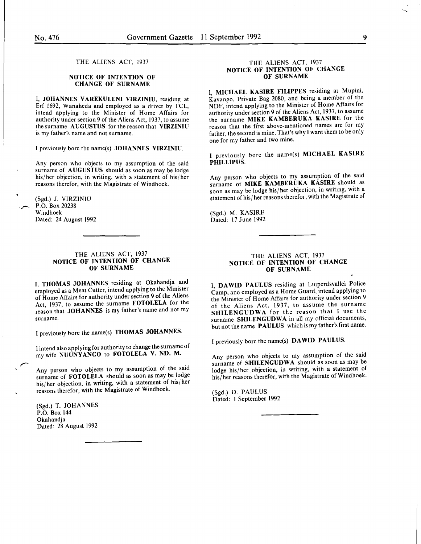THE ALIENS ACT, 1937

### NOTICE OF INTENTION OF CHANGE OF SURNAME

I, JOHANNES V AREKULENI VIRZINIU, residing at Erf 1692, Wanaheda and employed as a driver by TCL, intend applying to the Minister of Home Affairs for authority under section 9 of the Aliens Act, 1937, to assume the surname AUGUSTUS for the reason that VIRZINIU is my father's name and not surname.

I previously bore the name(s) JOHANNES VIRZINIU.

Any person who objects to my assumption of the said surname of AUGUSTUS should as soon as may be lodge his/her objection, in writing, with a statement of his/her reasons therefor, with the Magistrate of Windhoek.

(Sgd.) J. VIRZINIU P.O. Box 20238 Windhoek Dated: 24 August 1992

### THE ALIENS ACT, 1937 NOTICE OF INTENTION OF CHANGE OF SURNAME

I, THOMAS JOHANNES residing at Okahandja and employed as a Meat Cutter, intend applying to the Minister of Home Affairs for authority under section 9 of the Aliens Act, 1937, to assume the surname FOTOLELA for the reason that JOHANNES is my father's name and not my surname.

I previously bore the name(s) THOMAS JOHANNES.

I intend also applying for authority to change the surname of my wife NUUNYANGO to FOTOLELA V. ND. M.

Any person who objects to my assumption of the said surname of FOTOLELA should as soon as may be lodge his/her objection, in writing, with a statement of his/her reasons therefor, with the Magistrate of Windhoek.

(Sgd.) T. JOHANNES P.O. Box 144 Okahandja Dated: 28 August 1992

### THE ALIENS ACT, 1937 NOTICE OF INTENTION OF CHANGE OF SURNAME

I. MICHAEL KASIRE FILIPPES residing at Mupini, Kavango, Private Bag 2080, and being a member of the NDF, intend applying to the Minister of Home Affairs for authority under section 9 of the Aliens Act, 1937, to assume the surname MIKE KAMBERUKA KASIRE for the reason that the first above-mentioned names are for my father, the second is mine. That's why I want them to be only one for my father and two mine.

I previously bore the name(s) MICHAEL KASIRE PHILLIPUS.

Any person who objects to my assumption of the said surname of MIKE KAMBERUKA KASIRE should as soon as may be lodge his/her objection, in writing, with a statement of his/her reasons therefor, with the Magistrate of

(Sgd.) M. KASIRE Dated: 17 June 1992

### THE ALIENS ACT, 1937 NOTICE OF INTENTION OF CHANGE OF SURNAME

I, DAWID PAULUS residing at Luiperdsvallei Police Camp, and employed as a Home Guard, intend applying to the Minister of Home Affairs for authority under section 9 of the Aliens Act, 1937, to assume the surname SHILENGUDWA for the reason that I use the surname SHILENGUDWA in all my official documents, but not the name PAULUS which is my father's first name.

I previously bore the name(s) DAWID PAULUS.

Any person who objects to my assumption of the said surname of SHILENGUDWA should as soon as may be lodge his/her objection, in writing, with a statement of his/her reasons therefor, with the Magistrate of Windhoek.

(Sgd.) D. PAULUS Dated: I September 1992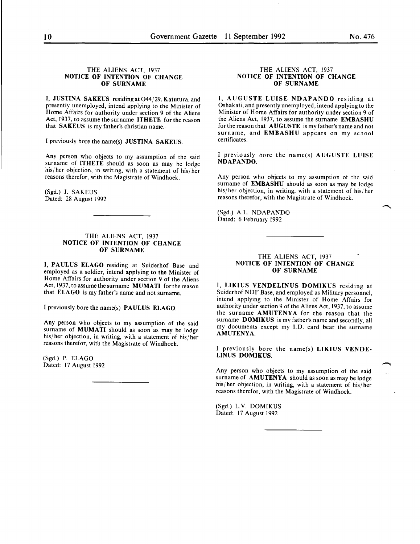### THE ALIENS ACT, 1937 NOTICE OF INTENTION OF CHANGE OF SURNAME

I, JUSTINA SAKEUS residing at 044/29, Katutura, and presently unemployed, intend applying to the Minister of Home Affairs for authority under section 9 of the Aliens Act, 1937, to assume the surname ITHETE for the reason that SAKEUS is my father's christian name.

I previously bore the name(s) JUSTINA SAKEUS.

Any person who objects to my assumption of the said surname of ITHETE should as soon as may be lodge his/her objection, in writing, with a statement of his/her reasons therefor, with the Magistrate of Windhoek.

(Sgd.) J. SAKEUS Dated: 28 August 1992

### THE ALIENS ACT, 1937 NOTICE OF INTENTION OF CHANGE OF SURNAME

I, PAULUS ELAGO residing at Suiderhof Base and employed as a soldier, intend applying to the Minister of Home Affairs for authority under section 9 of the Aliens Act, 1937, to assume the surname MUMATI for the reason that ELAGO is my father's name and not surname.

I previously bore the name(s) PAULUS ELAGO.

Any person who objects to my assumption of the said surname of MUMATI should as soon as may be lodge his/her objection, in writing, with a statement of his/her reasons therefor, with the Magistrate of Windhoek.

(Sgd.) P. ELAGO Dated: 17 August 1992

### THE ALIENS ACT, 1937 NOTICE OF INTENTION OF CHANGE OF SURNAME

I, AUGUSTE LUISE NDAPANDO residing at Oshakati, and presently unemployed, intend applying to the Minister of Home Affairs for authority under section 9 of the Aliens Act, 1937, to assume the surname EMBASHU for the reason that AUGUSTE is my father's name and not surname, and EMBASHU appears on my school certificates.

I previously bore the name(s) AUGUSTE LUISE NDAPANDO.

Any person who objects to my assumption of the said surname of EMBASHU should as soon as may be lodge his/her objection, in writing, with a statement of his/her reasons therefor, with the Magistrate of Windhoek.

(Sgd.) A.L. NDAPANDO Dated: 6 February 1992

### THE ALIENS ACT, 1937 NOTICE OF INTENTION OF CHANGE OF SURNAME

I, LIKIUS VENDELINUS DOMIKUS residing at Suiderhof NDF Base, and employed as Military personnel, intend applying to the Minister of Home Affairs for authority under section 9 of the Aliens Act, 1937, to assume the surname AMUTENYA for the reason that the surname DOMIKUS is my father's name and secondly, all my documents except my I.D. card bear the surname AMUTENYA.

I previously bore the name(s) LIKIUS VENDE-LINUS DOMIKUS.

Any person who objects to my assumption of the said surname of AMUTENYA should as soon as may be lodge his/her objection, in writing, with a statement of his/her reasons therefor, with the Magistrate of Windhoek.

(Sgd.) L.V. DOMIKUS Dated: 17 August 1992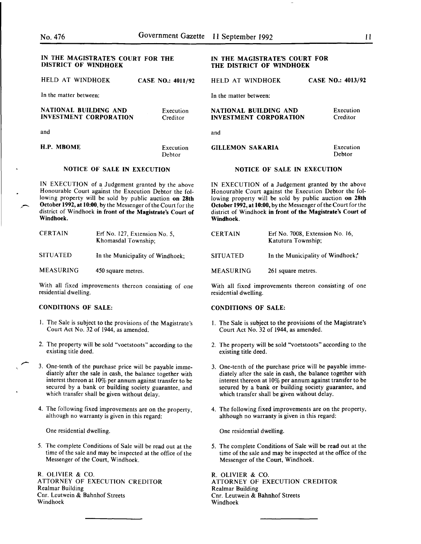| IN THE MAGISTRATE'S COURT FOR THE<br><b>DISTRICT OF WINDHOEK</b>                                                                                                                                                                                                                                                 |                                                       |                       | IN THE MAGISTRATE'S COURT FOR<br>THE DISTRICT OF WINDHOEK                                                                                                                                                                                                                                                        |                                  |                          |
|------------------------------------------------------------------------------------------------------------------------------------------------------------------------------------------------------------------------------------------------------------------------------------------------------------------|-------------------------------------------------------|-----------------------|------------------------------------------------------------------------------------------------------------------------------------------------------------------------------------------------------------------------------------------------------------------------------------------------------------------|----------------------------------|--------------------------|
| HELD AT WINDHOEK                                                                                                                                                                                                                                                                                                 |                                                       | CASE NO.: 4011/92     | HELD AT WINDHOEK                                                                                                                                                                                                                                                                                                 |                                  | <b>CASE NO.: 4013/92</b> |
| In the matter between.                                                                                                                                                                                                                                                                                           |                                                       |                       | In the matter between:                                                                                                                                                                                                                                                                                           |                                  |                          |
| NATIONAL BUILDING AND<br><b>INVESTMENT CORPORATION</b>                                                                                                                                                                                                                                                           |                                                       | Execution<br>Creditor | NATIONAL BUILDING AND<br><b>INVESTMENT CORPORATION</b>                                                                                                                                                                                                                                                           |                                  | Execution<br>Creditor    |
| and                                                                                                                                                                                                                                                                                                              |                                                       |                       | and                                                                                                                                                                                                                                                                                                              |                                  |                          |
| H.P. MBOME                                                                                                                                                                                                                                                                                                       |                                                       | Execution<br>Debtor   | <b>GILLEMON SAKARIA</b>                                                                                                                                                                                                                                                                                          |                                  | Execution<br>Debtor      |
| <b>NOTICE OF SALE IN EXECUTION</b>                                                                                                                                                                                                                                                                               |                                                       |                       | <b>NOTICE OF SALE IN EXECUTION</b>                                                                                                                                                                                                                                                                               |                                  |                          |
| IN EXECUTION of a Judgement granted by the above<br>Honourable Court against the Execution Debtor the fol-<br>lowing property will be sold by public auction on 28th<br>October 1992, at 10:00, by the Messenger of the Court for the<br>district of Windhoek in front of the Magistrate's Court of<br>Windhoek. |                                                       |                       | IN EXECUTION of a Judgement granted by the above<br>Honourable Court against the Execution Debtor the fol-<br>lowing property will be sold by public auction on 28th<br>October 1992, at 10:00, by the Messenger of the Court for the<br>district of Windhoek in front of the Magistrate's Court of<br>Windhoek. |                                  |                          |
| <b>CERTAIN</b><br>Erf No. 127, Extension No. 5,<br>Khomasdal Township;                                                                                                                                                                                                                                           |                                                       | <b>CERTAIN</b>        | Erf No. 7008, Extension No. 16,<br>Katutura Township;                                                                                                                                                                                                                                                            |                                  |                          |
| <b>SITUATED</b><br>In the Municipality of Windhoek;                                                                                                                                                                                                                                                              |                                                       |                       | <b>SITUATED</b>                                                                                                                                                                                                                                                                                                  | In the Municipality of Windhoek, |                          |
| <b>MEASURING</b><br>450 square metres.                                                                                                                                                                                                                                                                           |                                                       |                       | <b>MEASURING</b>                                                                                                                                                                                                                                                                                                 | 261 square metres.               |                          |
| residential dwelling.                                                                                                                                                                                                                                                                                            | With all fixed improvements thereon consisting of one |                       | With all fixed improvements thereon consisting of one<br>residential dwelling.                                                                                                                                                                                                                                   |                                  |                          |

### CONDITIONS OF SALE:

- I. The Sale is subject to the provisions of the Magistrate's Court Act No. 32 of 1944, as amended.
- 2. The property will be sold "voetstoots" according to the existing title deed.
- 3. Qne-tenth of the purchase price will be payable immediately after the sale in cash, the balance together with interest thereon at  $10\%$  per annum against transfer to be secured by a bank or building society guarantee, and which transfer shall be given without delay.
- 4. The following fixed improvements are on the property, although no warranty is given in this regard:

One residential dwelling.

5. The complete Conditions of Sale will be read out at the time of the sale and may be inspected at the office of the Messenger of the Court, Windhoek.

R. OLIVIER & CO. ATTORNEY OF EXECUTION CREDITOR Realmar Building Cnr. Leutwein & Bahnhof Streets Windhoek

### CONDITIONS OF SALE:

- 1. The Sale is subject to the provisions of the Magistrate's Court Act No. 32 of 1944, as amended.
- 2. The property will be sold "voetstoots" according to the existing title deed.
- 3. One-tenth of the purchase price will be payable immediately after the sale in cash, the balance together with interest thereon at 10% per annum against transfer to be secured by a bank or building society guarantee, and which transfer shall be given without delay.
- 4. The following fixed improvements are on the property, although no warranty is given in this regard:

One residential dwelling.

5. The complete Conditions of Sale will be read out at the time of the sale and may be inspected at the office of the Messenger of the Court, Windhoek.

R. OLIVIER & CO. ATTORNEY OF EXECUTION CREDITOR Realmar Building Cnr. Leutwein & Bahnhof Streets Windhoek